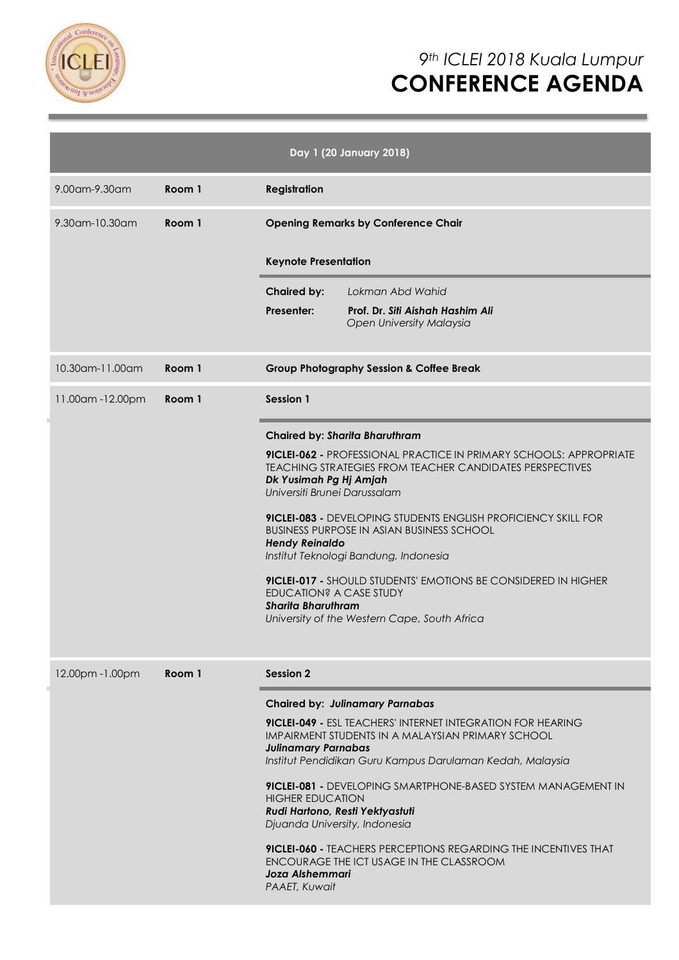

# *9th ICLEI 2018 Kuala Lumpur* **CONFERENCE AGENDA**

| Day 1 (20 January 2018) |        |                                                                                                                                                                                                                                                                                                                                                                                                                                                                                                                                                                                                      |  |  |  |
|-------------------------|--------|------------------------------------------------------------------------------------------------------------------------------------------------------------------------------------------------------------------------------------------------------------------------------------------------------------------------------------------------------------------------------------------------------------------------------------------------------------------------------------------------------------------------------------------------------------------------------------------------------|--|--|--|
| 9.00am-9.30am           | Room 1 | <b>Registration</b>                                                                                                                                                                                                                                                                                                                                                                                                                                                                                                                                                                                  |  |  |  |
| 9.30am-10.30am          | Room 1 | <b>Opening Remarks by Conference Chair</b>                                                                                                                                                                                                                                                                                                                                                                                                                                                                                                                                                           |  |  |  |
|                         |        | <b>Keynote Presentation</b>                                                                                                                                                                                                                                                                                                                                                                                                                                                                                                                                                                          |  |  |  |
|                         |        | <b>Chaired by:</b><br>Lokman Abd Wahid                                                                                                                                                                                                                                                                                                                                                                                                                                                                                                                                                               |  |  |  |
|                         |        | <b>Presenter:</b><br>Prof. Dr. Siti Aishah Hashim Ali<br><b>Open University Malaysia</b>                                                                                                                                                                                                                                                                                                                                                                                                                                                                                                             |  |  |  |
| 10.30am-11.00am         | Room 1 | <b>Group Photography Session &amp; Coffee Break</b>                                                                                                                                                                                                                                                                                                                                                                                                                                                                                                                                                  |  |  |  |
| 11.00am-12.00pm         | Room 1 | Session 1                                                                                                                                                                                                                                                                                                                                                                                                                                                                                                                                                                                            |  |  |  |
|                         |        | <b>Chaired by: Sharita Bharuthram</b>                                                                                                                                                                                                                                                                                                                                                                                                                                                                                                                                                                |  |  |  |
|                         |        | <b>9ICLEI-062 -</b> PROFESSIONAL PRACTICE IN PRIMARY SCHOOLS: APPROPRIATE<br><b>TEACHING STRATEGIES FROM TEACHER CANDIDATES PERSPECTIVES</b><br>Dk Yusimah Pg Hj Amjah<br>Universiti Brunei Darussalam<br><b>9ICLEI-083 -</b> DEVELOPING STUDENTS ENGLISH PROFICIENCY SKILL FOR<br><b>BUSINESS PURPOSE IN ASIAN BUSINESS SCHOOL</b><br><b>Hendy Reinaldo</b><br>Institut Teknologi Bandung, Indonesia<br>9ICLEI-017 - SHOULD STUDENTS' EMOTIONS BE CONSIDERED IN HIGHER<br><b>EDUCATION? A CASE STUDY</b><br><b>Sharita Bharuthram</b><br>University of the Western Cape, South Africa               |  |  |  |
| 12.00pm - 1.00pm        | Room 1 | <b>Session 2</b>                                                                                                                                                                                                                                                                                                                                                                                                                                                                                                                                                                                     |  |  |  |
|                         |        | <b>Chaired by: Julinamary Parnabas</b><br><b>9ICLEI-049 - ESL TEACHERS' INTERNET INTEGRATION FOR HEARING</b><br>IMPAIRMENT STUDENTS IN A MALAYSIAN PRIMARY SCHOOL<br><b>Julinamary Parnabas</b><br>Institut Pendidikan Guru Kampus Darulaman Kedah, Malaysia<br><b>9ICLEI-081 -</b> DEVELOPING SMARTPHONE-BASED SYSTEM MANAGEMENT IN<br><b>HIGHER EDUCATION</b><br>Rudi Hartono, Resti Yektyastuti<br>Djuanda University, Indonesia<br><b>9ICLEI-060 - TEACHERS PERCEPTIONS REGARDING THE INCENTIVES THAT</b><br>ENCOURAGE THE ICT USAGE IN THE CLASSROOM<br><b>Joza Alshemmari</b><br>PAAET, Kuwait |  |  |  |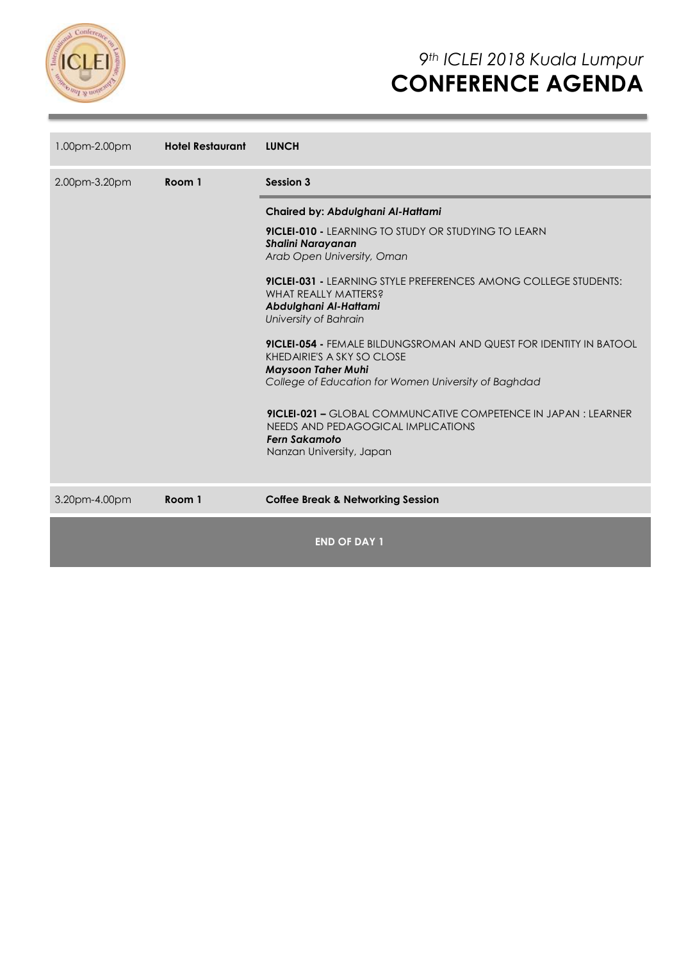

| 1.00pm-2.00pm | <b>Hotel Restaurant</b> | <b>LUNCH</b>                                                                                                                                                                                                                                                                                                                                                                                                                                                                                                                                                                                                                                                |  |  |
|---------------|-------------------------|-------------------------------------------------------------------------------------------------------------------------------------------------------------------------------------------------------------------------------------------------------------------------------------------------------------------------------------------------------------------------------------------------------------------------------------------------------------------------------------------------------------------------------------------------------------------------------------------------------------------------------------------------------------|--|--|
| 2.00pm-3.20pm | Room 1                  | <b>Session 3</b>                                                                                                                                                                                                                                                                                                                                                                                                                                                                                                                                                                                                                                            |  |  |
|               |                         | Chaired by: Abdulghani Al-Hattami<br><b>9ICLEI-010 - LEARNING TO STUDY OR STUDYING TO LEARN</b><br>Shalini Narayanan<br>Arab Open University, Oman<br><b>9ICLEI-031 - LEARNING STYLE PREFERENCES AMONG COLLEGE STUDENTS:</b><br>WHAT REALLY MATTERS?<br>Abdulghani Al-Hattami<br>University of Bahrain<br><b>9ICLEI-054 - FEMALE BILDUNGSROMAN AND QUEST FOR IDENTITY IN BATOOL</b><br>KHEDAIRIE'S A SKY SO CLOSE<br><b>Maysoon Taher Muhi</b><br>College of Education for Women University of Baghdad<br>9ICLEI-021 - GLOBAL COMMUNCATIVE COMPETENCE IN JAPAN : LEARNER<br>NEEDS AND PEDAGOGICAL IMPLICATIONS<br>Fern Sakamoto<br>Nanzan University, Japan |  |  |
| 3.20pm-4.00pm | Room 1                  | <b>Coffee Break &amp; Networking Session</b>                                                                                                                                                                                                                                                                                                                                                                                                                                                                                                                                                                                                                |  |  |
|               |                         | <b>END OF DAY 1</b>                                                                                                                                                                                                                                                                                                                                                                                                                                                                                                                                                                                                                                         |  |  |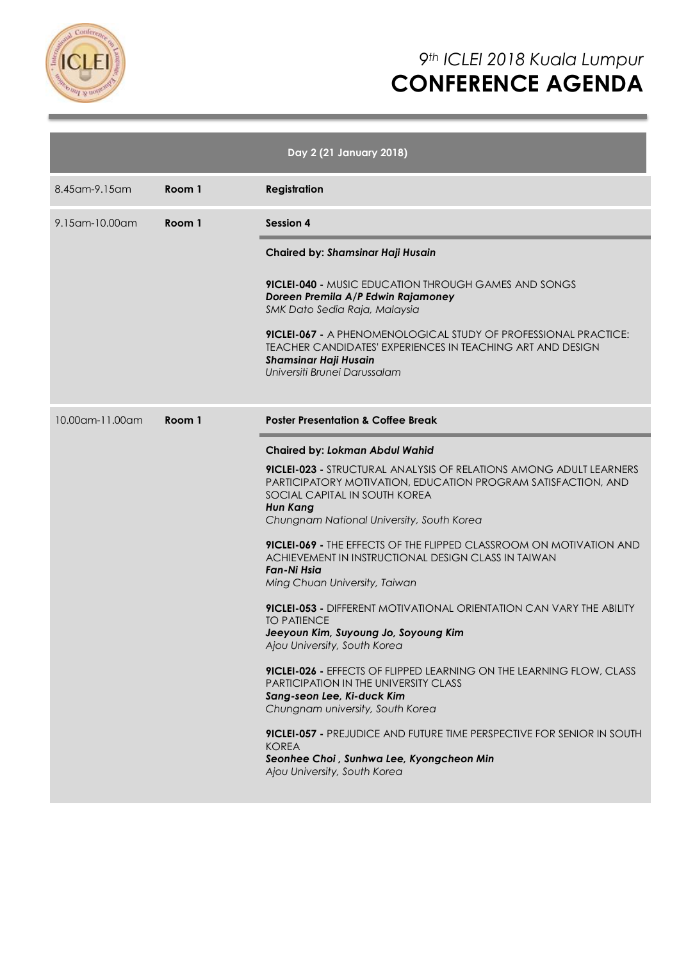

|                                  |        | Day 2 (21 January 2018)                                                                                                                                                                                                                     |
|----------------------------------|--------|---------------------------------------------------------------------------------------------------------------------------------------------------------------------------------------------------------------------------------------------|
| 8.45 am - 9.15 am                | Room 1 | <b>Registration</b>                                                                                                                                                                                                                         |
| 9.15 am - 10.00 am               | Room 1 | <b>Session 4</b>                                                                                                                                                                                                                            |
|                                  |        | Chaired by: Shamsinar Haji Husain                                                                                                                                                                                                           |
|                                  |        | <b>9ICLEI-040 - MUSIC EDUCATION THROUGH GAMES AND SONGS</b><br>Doreen Premila A/P Edwin Rajamoney<br>SMK Dato Sedia Raja, Malaysia                                                                                                          |
|                                  |        | <b>9ICLEI-067 -</b> A PHENOMENOLOGICAL STUDY OF PROFESSIONAL PRACTICE:<br>TEACHER CANDIDATES' EXPERIENCES IN TEACHING ART AND DESIGN<br><b>Shamsinar Haji Husain</b><br>Universiti Brunei Darussalam                                        |
| $10.00$ am- $11.00$ am<br>Room 1 |        | <b>Poster Presentation &amp; Coffee Break</b>                                                                                                                                                                                               |
|                                  |        | <b>Chaired by: Lokman Abdul Wahid</b>                                                                                                                                                                                                       |
|                                  |        | <b>9ICLEI-023 - STRUCTURAL ANALYSIS OF RELATIONS AMONG ADULT LEARNERS</b><br>PARTICIPATORY MOTIVATION, EDUCATION PROGRAM SATISFACTION, AND<br>SOCIAL CAPITAL IN SOUTH KOREA<br><b>Hun Kang</b><br>Chungnam National University, South Korea |
|                                  |        | <b>9ICLEI-069 - THE EFFECTS OF THE FLIPPED CLASSROOM ON MOTIVATION AND</b><br>ACHIEVEMENT IN INSTRUCTIONAL DESIGN CLASS IN TAIWAN<br>Fan-Ni Hsia<br>Ming Chuan University, Taiwan                                                           |
|                                  |        | <b>9ICLEI-053 -</b> DIFFERENT MOTIVATIONAL ORIENTATION CAN VARY THE ABILITY<br><b>TO PATIENCE</b><br>Jeeyoun Kim, Suyoung Jo, Soyoung Kim<br>Ajou University, South Korea                                                                   |
|                                  |        | 9ICLEI-026 - EFFECTS OF FLIPPED LEARNING ON THE LEARNING FLOW, CLASS<br>PARTICIPATION IN THE UNIVERSITY CLASS<br>Sang-seon Lee, Ki-duck Kim<br>Chungnam university, South Korea                                                             |
|                                  |        | <b>9ICLEI-057 - PREJUDICE AND FUTURE TIME PERSPECTIVE FOR SENIOR IN SOUTH</b><br><b>KOREA</b><br>Seonhee Choi, Sunhwa Lee, Kyongcheon Min<br>Ajou University, South Korea                                                                   |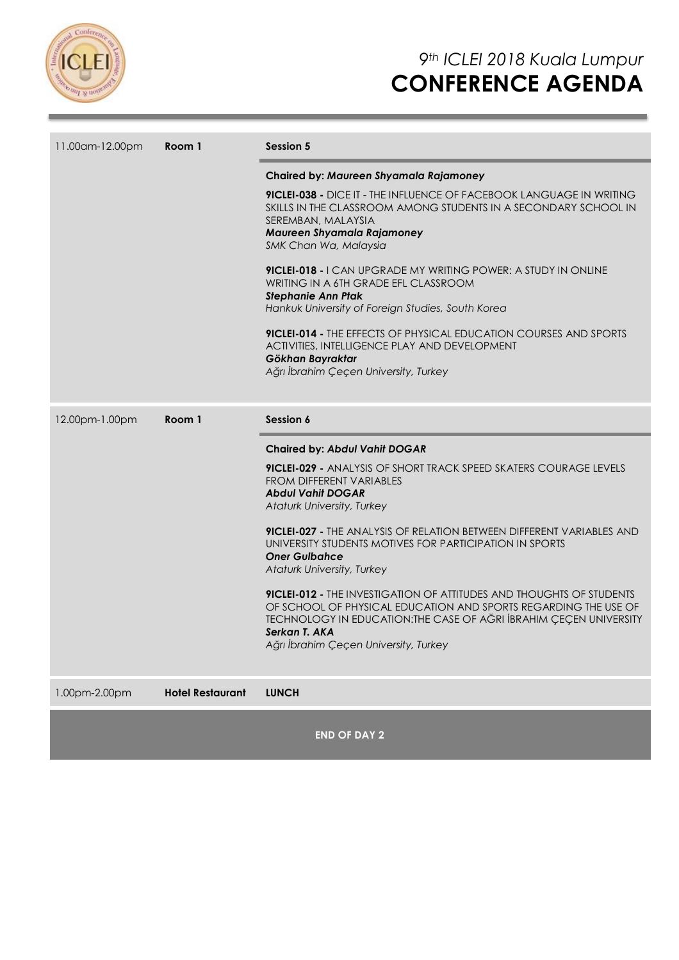

| 11.00am-12.00pm | Room 1                  | <b>Session 5</b>                                                                                                                                                                                                                                                               |  |  |
|-----------------|-------------------------|--------------------------------------------------------------------------------------------------------------------------------------------------------------------------------------------------------------------------------------------------------------------------------|--|--|
|                 |                         | Chaired by: Maureen Shyamala Rajamoney                                                                                                                                                                                                                                         |  |  |
|                 |                         | <b>9ICLEI-038 -</b> DICE IT - THE INFLUENCE OF FACEBOOK LANGUAGE IN WRITING<br>SKILLS IN THE CLASSROOM AMONG STUDENTS IN A SECONDARY SCHOOL IN<br>SEREMBAN, MALAYSIA<br>Maureen Shyamala Rajamoney<br>SMK Chan Wa, Malaysia                                                    |  |  |
|                 |                         | <b>9ICLEI-018 - I CAN UPGRADE MY WRITING POWER: A STUDY IN ONLINE</b><br>WRITING IN A 6TH GRADE EFL CLASSROOM<br><b>Stephanie Ann Ptak</b><br>Hankuk University of Foreign Studies, South Korea                                                                                |  |  |
|                 |                         | <b>9ICLEI-014 - THE EFFECTS OF PHYSICAL EDUCATION COURSES AND SPORTS</b><br>ACTIVITIES, INTELLIGENCE PLAY AND DEVELOPMENT<br>Gökhan Bayraktar<br>Ağrı İbrahim Çeçen University, Turkey                                                                                         |  |  |
| 12.00pm-1.00pm  | Room 1                  | Session 6                                                                                                                                                                                                                                                                      |  |  |
|                 |                         | <b>Chaired by: Abdul Vahit DOGAR</b>                                                                                                                                                                                                                                           |  |  |
|                 |                         | <b>9ICLEI-029 - ANALYSIS OF SHORT TRACK SPEED SKATERS COURAGE LEVELS</b><br>FROM DIFFERENT VARIABLES<br><b>Abdul Vahit DOGAR</b><br>Ataturk University, Turkey                                                                                                                 |  |  |
|                 |                         | <b>9ICLEI-027 -</b> THE ANALYSIS OF RELATION BETWEEN DIFFERENT VARIABLES AND<br>UNIVERSITY STUDENTS MOTIVES FOR PARTICIPATION IN SPORTS<br><b>Oner Gulbahce</b><br><b>Ataturk University, Turkey</b>                                                                           |  |  |
|                 |                         | <b>9ICLEI-012 - THE INVESTIGATION OF ATTITUDES AND THOUGHTS OF STUDENTS</b><br>OF SCHOOL OF PHYSICAL EDUCATION AND SPORTS REGARDING THE USE OF<br>TECHNOLOGY IN EDUCATION: THE CASE OF AĞRI İBRAHIM ÇEÇEN UNIVERSITY<br>Serkan T. AKA<br>Ağrı İbrahim Çeçen University, Turkey |  |  |
| 1.00pm-2.00pm   | <b>Hotel Restaurant</b> | <b>LUNCH</b>                                                                                                                                                                                                                                                                   |  |  |

**END OF DAY 2**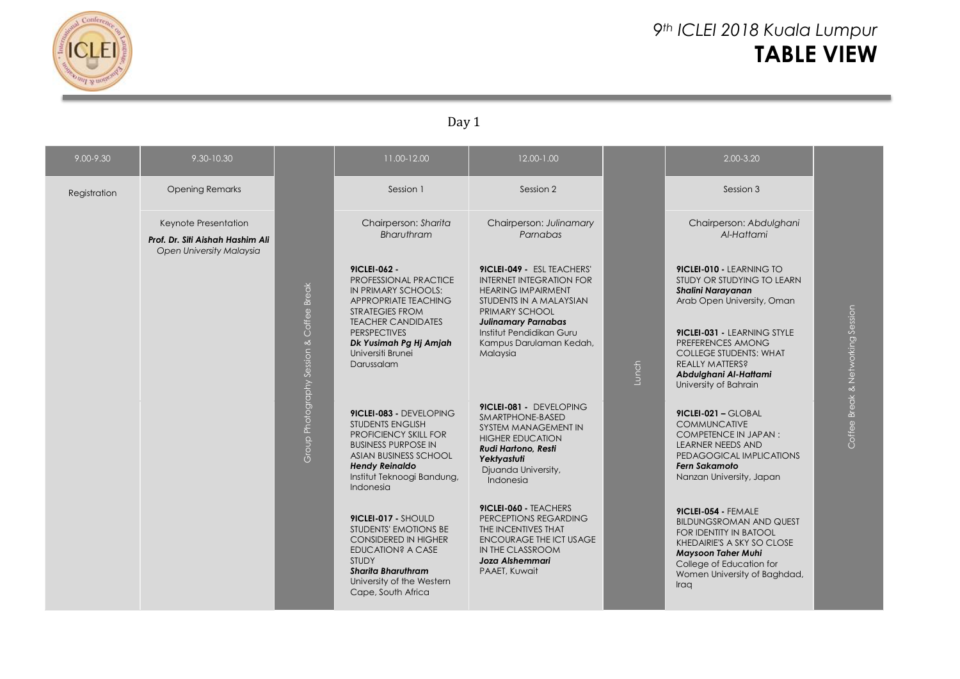

# *9th ICLEI 2018 Kuala Lumpur* **TABLE VIEW**

## Day 1

| $9.00 - 9.30$ | 9.30-10.30                                                                           |                             | 11.00-12.00                                                                                                                                                                                                                     | 12.00-1.00                                                                                                                                                                                                                               |       | $2.00 - 3.20$                                                                                                                                                                                                                                                                            |                                   |
|---------------|--------------------------------------------------------------------------------------|-----------------------------|---------------------------------------------------------------------------------------------------------------------------------------------------------------------------------------------------------------------------------|------------------------------------------------------------------------------------------------------------------------------------------------------------------------------------------------------------------------------------------|-------|------------------------------------------------------------------------------------------------------------------------------------------------------------------------------------------------------------------------------------------------------------------------------------------|-----------------------------------|
| Registration  | <b>Opening Remarks</b>                                                               |                             | Session 1                                                                                                                                                                                                                       | Session 2                                                                                                                                                                                                                                |       | Session 3                                                                                                                                                                                                                                                                                |                                   |
|               | Keynote Presentation<br>Prof. Dr. Siti Aishah Hashim Ali<br>Open University Malaysia |                             | Chairperson: Sharita<br><b>Bharuthram</b>                                                                                                                                                                                       | Chairperson: Julinamary<br>Parnabas                                                                                                                                                                                                      |       | Chairperson: Abdulghani<br>Al-Hattami                                                                                                                                                                                                                                                    |                                   |
|               |                                                                                      | <b>Break</b><br>Coffee      | 91CLEI-062 -<br>PROFESSIONAL PRACTICE<br>IN PRIMARY SCHOOLS:<br>APPROPRIATE TEACHING<br><b>STRATEGIES FROM</b><br><b>TEACHER CANDIDATES</b><br><b>PERSPECTIVES</b><br>Dk Yusimah Pg Hj Amjah<br>Universiti Brunei<br>Darussalam | 9ICLEI-049 - ESL TEACHERS'<br><b>INTERNET INTEGRATION FOR</b><br><b>HEARING IMPAIRMENT</b><br>STUDENTS IN A MALAYSIAN<br>PRIMARY SCHOOL<br><b>Julinamary Parnabas</b><br>Institut Pendidikan Guru<br>Kampus Darulaman Kedah,<br>Malaysia | Lunch | 9ICLEI-010 - LEARNING TO<br>STUDY OR STUDYING TO LEARN<br><b>Shalini Narayanan</b><br>Arab Open University, Oman<br><b>9ICLEI-031 - LEARNING STYLE</b><br>PREFERENCES AMONG<br><b>COLLEGE STUDENTS: WHAT</b><br><b>REALLY MATTERS?</b><br>Abdulghani Al-Hattami<br>University of Bahrain | Coffee Break & Networking Session |
|               |                                                                                      | Group Photography Session & | 9ICLEI-083 - DEVELOPING<br><b>STUDENTS ENGLISH</b><br><b>PROFICIENCY SKILL FOR</b><br><b>BUSINESS PURPOSE IN</b><br>ASIAN BUSINESS SCHOOL<br><b>Hendy Reinaldo</b><br>Institut Teknoogi Bandung,<br>Indonesia                   | 9ICLEI-081 - DEVELOPING<br>SMARTPHONE-BASED<br>SYSTEM MANAGEMENT IN<br><b>HIGHER EDUCATION</b><br><b>Rudi Hartono, Resti</b><br>Yektyastuti<br>Djuanda University,<br>Indonesia                                                          |       | 9ICLEI-021 - GLOBAL<br><b>COMMUNCATIVE</b><br><b>COMPETENCE IN JAPAN:</b><br><b>LEARNER NEEDS AND</b><br>PEDAGOGICAL IMPLICATIONS<br><b>Fern Sakamoto</b><br>Nanzan University, Japan                                                                                                    |                                   |
|               |                                                                                      |                             | 9ICLEI-017 - SHOULD<br>STUDENTS' EMOTIONS BE<br><b>CONSIDERED IN HIGHER</b><br>EDUCATION? A CASE<br><b>STUDY</b><br><b>Sharita Bharuthram</b><br>University of the Western<br>Cape, South Africa                                | 9ICLEI-060 - TEACHERS<br>PERCEPTIONS REGARDING<br>THE INCENTIVES THAT<br>ENCOURAGE THE ICT USAGE<br>IN THE CLASSROOM<br><b>Joza Alshemmari</b><br>PAAET, Kuwait                                                                          |       | 9ICLEI-054 - FEMALE<br><b>BILDUNGSROMAN AND QUEST</b><br><b>FOR IDENTITY IN BATOOL</b><br>KHEDAIRIE'S A SKY SO CLOSE<br><b>Maysoon Taher Muhi</b><br>College of Education for<br>Women University of Baghdad,<br>Iraq                                                                    |                                   |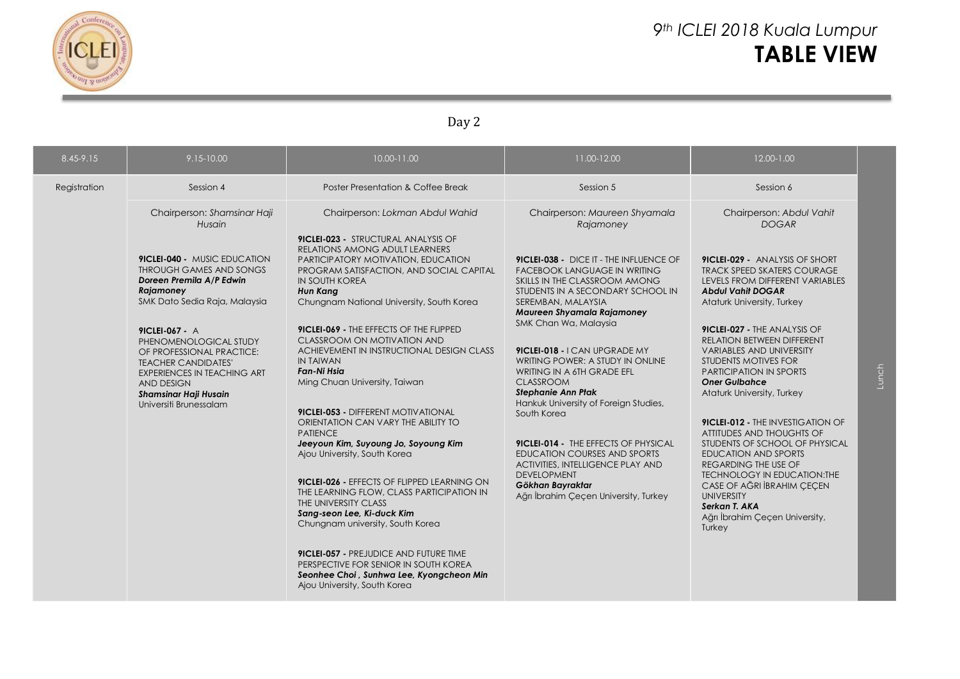

## *9th ICLEI 2018 Kuala Lumpur* **TABLE VIEW**

## Day 2

| 8.45-9.15    | $9.15 - 10.00$                                                                                                                                                                                                           | 10.00-11.00                                                                                                                                                                                                                                                              | 11.00-12.00                                                                                                                                                                                                               | 12.00-1.00                                                                                                                                                                                                                                        |       |
|--------------|--------------------------------------------------------------------------------------------------------------------------------------------------------------------------------------------------------------------------|--------------------------------------------------------------------------------------------------------------------------------------------------------------------------------------------------------------------------------------------------------------------------|---------------------------------------------------------------------------------------------------------------------------------------------------------------------------------------------------------------------------|---------------------------------------------------------------------------------------------------------------------------------------------------------------------------------------------------------------------------------------------------|-------|
| Registration | Session 4                                                                                                                                                                                                                | Poster Presentation & Coffee Break                                                                                                                                                                                                                                       | Session 5                                                                                                                                                                                                                 | Session 6                                                                                                                                                                                                                                         |       |
|              | Chairperson: Shamsinar Haji<br>Husain                                                                                                                                                                                    | Chairperson: Lokman Abdul Wahid                                                                                                                                                                                                                                          | Chairperson: Maureen Shyamala<br>Rajamoney                                                                                                                                                                                | Chairperson: Abdul Vahit<br><b>DOGAR</b>                                                                                                                                                                                                          |       |
|              | <b>9ICLEI-040 - MUSIC EDUCATION</b><br>THROUGH GAMES AND SONGS<br>Doreen Premila A/P Edwin<br>Rajamoney<br>SMK Dato Sedia Raja, Malaysia                                                                                 | 9ICLEI-023 - STRUCTURAL ANALYSIS OF<br>RELATIONS AMONG ADULT LEARNERS<br>PARTICIPATORY MOTIVATION, EDUCATION<br>PROGRAM SATISFACTION, AND SOCIAL CAPITAL<br><b>IN SOUTH KOREA</b><br><b>Hun Kang</b><br>Chungnam National University, South Korea                        | 9ICLEI-038 - DICE IT - THE INFLUENCE OF<br><b>FACEBOOK LANGUAGE IN WRITING</b><br>SKILLS IN THE CLASSROOM AMONG<br>STUDENTS IN A SECONDARY SCHOOL IN<br>SEREMBAN, MALAYSIA<br>Maureen Shyamala Rajamoney                  | <b>9ICLEI-029 - ANALYSIS OF SHORT</b><br><b>TRACK SPEED SKATERS COURAGE</b><br>LEVELS FROM DIFFERENT VARIABLES<br><b>Abdul Vahit DOGAR</b><br>Ataturk University, Turkey                                                                          |       |
|              | 9ICLEI-067 - A<br>PHENOMENOLOGICAL STUDY<br>OF PROFESSIONAL PRACTICE:<br><b>TEACHER CANDIDATES'</b><br><b>EXPERIENCES IN TEACHING ART</b><br><b>AND DESIGN</b><br><b>Shamsinar Haji Husain</b><br>Universiti Brunessalam | 9ICLEI-069 - THE EFFECTS OF THE FLIPPED<br>CLASSROOM ON MOTIVATION AND<br>ACHIEVEMENT IN INSTRUCTIONAL DESIGN CLASS<br>IN TAIWAN<br><b>Fan-Ni Hsia</b><br>Ming Chuan University, Taiwan                                                                                  | SMK Chan Wa, Malaysia<br>9ICLEI-018 - I CAN UPGRADE MY<br>WRITING POWER: A STUDY IN ONLINE<br>WRITING IN A 6TH GRADE EFL<br><b>CLASSROOM</b><br><b>Stephanie Ann Ptak</b><br>Hankuk University of Foreign Studies,        | 9ICLEI-027 - THE ANALYSIS OF<br>RELATION BETWEEN DIFFERENT<br><b>VARIABLES AND UNIVERSITY</b><br>STUDENTS MOTIVES FOR<br><b>PARTICIPATION IN SPORTS</b><br><b>Oner Gulbahce</b><br>Ataturk University, Turkey                                     | Lunch |
|              |                                                                                                                                                                                                                          | <b>9ICLEI-053 - DIFFERENT MOTIVATIONAL</b><br>ORIENTATION CAN VARY THE ABILITY TO<br><b>PATIENCE</b><br>Jeeyoun Kim, Suyoung Jo, Soyoung Kim<br>Ajou University, South Korea<br>9ICLEI-026 - EFFECTS OF FLIPPED LEARNING ON<br>THE LEARNING FLOW, CLASS PARTICIPATION IN | South Korea<br><b>9ICLEI-014 - THE EFFECTS OF PHYSICAL</b><br><b>EDUCATION COURSES AND SPORTS</b><br>ACTIVITIES, INTELLIGENCE PLAY AND<br><b>DEVELOPMENT</b><br>Gökhan Bayraktar<br>Ağrı İbrahim Çeçen University, Turkey | <b>9ICLEI-012 - THE INVESTIGATION OF</b><br>ATTITUDES AND THOUGHTS OF<br>STUDENTS OF SCHOOL OF PHYSICAL<br><b>EDUCATION AND SPORTS</b><br>REGARDING THE USE OF<br>TECHNOLOGY IN EDUCATION: THE<br>CASE OF AĞRI İBRAHIM ÇEÇEN<br><b>UNIVERSITY</b> |       |
|              |                                                                                                                                                                                                                          | THE UNIVERSITY CLASS<br>Sang-seon Lee, Ki-duck Kim<br>Chungnam university, South Korea                                                                                                                                                                                   |                                                                                                                                                                                                                           | Serkan T. AKA<br>Ağrı İbrahim Çeçen University,<br>Turkey                                                                                                                                                                                         |       |
|              |                                                                                                                                                                                                                          | 9ICLEI-057 - PREJUDICE AND FUTURE TIME<br>PERSPECTIVE FOR SENIOR IN SOUTH KOREA<br>Seonhee Choi, Sunhwa Lee, Kyongcheon Min<br>Ajou University, South Korea                                                                                                              |                                                                                                                                                                                                                           |                                                                                                                                                                                                                                                   |       |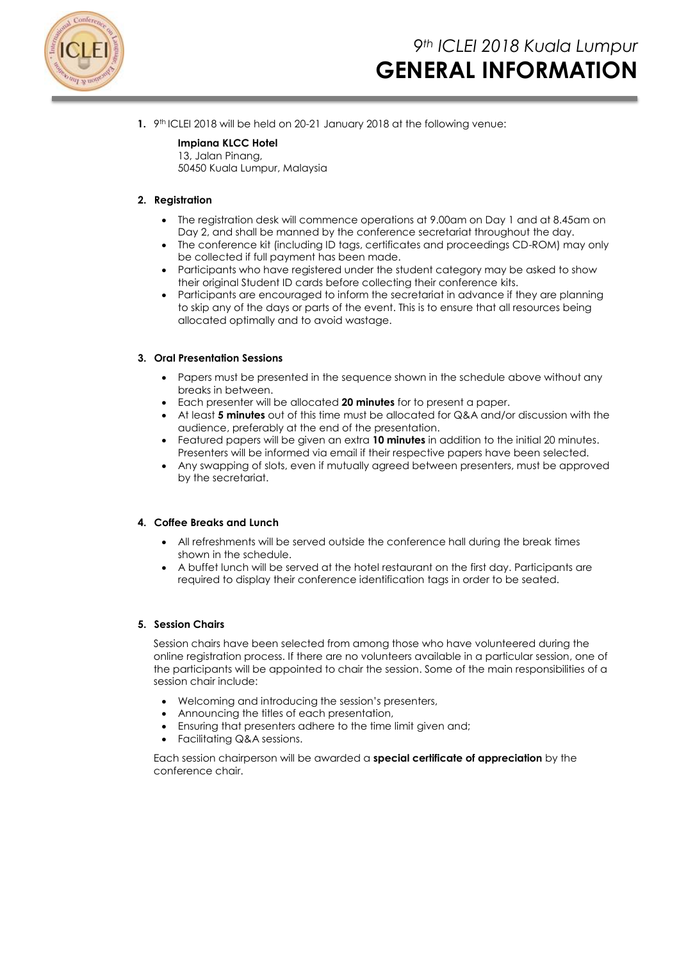

**1.** 9<sup>th</sup> ICLEI 2018 will be held on 20-21 January 2018 at the following venue:

### **Impiana KLCC Hotel**

13, Jalan Pinang, 50450 Kuala Lumpur, Malaysia

### **2. Registration**

- The registration desk will commence operations at 9.00am on Day 1 and at 8.45am on Day 2, and shall be manned by the conference secretariat throughout the day.
- The conference kit (including ID tags, certificates and proceedings CD-ROM) may only be collected if full payment has been made.
- Participants who have registered under the student category may be asked to show their original Student ID cards before collecting their conference kits.
- Participants are encouraged to inform the secretariat in advance if they are planning to skip any of the days or parts of the event. This is to ensure that all resources being allocated optimally and to avoid wastage.

#### **3. Oral Presentation Sessions**

- Papers must be presented in the sequence shown in the schedule above without any breaks in between.
- Each presenter will be allocated **20 minutes** for to present a paper.
- At least **5 minutes** out of this time must be allocated for Q&A and/or discussion with the audience, preferably at the end of the presentation.
- Featured papers will be given an extra **10 minutes** in addition to the initial 20 minutes. Presenters will be informed via email if their respective papers have been selected.
- Any swapping of slots, even if mutually agreed between presenters, must be approved by the secretariat.

#### **4. Coffee Breaks and Lunch**

- All refreshments will be served outside the conference hall during the break times shown in the schedule.
- A buffet lunch will be served at the hotel restaurant on the first day. Participants are required to display their conference identification tags in order to be seated.

#### **5. Session Chairs**

Session chairs have been selected from among those who have volunteered during the online registration process. If there are no volunteers available in a particular session, one of the participants will be appointed to chair the session. Some of the main responsibilities of a session chair include:

- Welcoming and introducing the session's presenters,
- Announcing the titles of each presentation,
- Ensuring that presenters adhere to the time limit given and;
- Facilitating Q&A sessions.

Each session chairperson will be awarded a **special certificate of appreciation** by the conference chair.